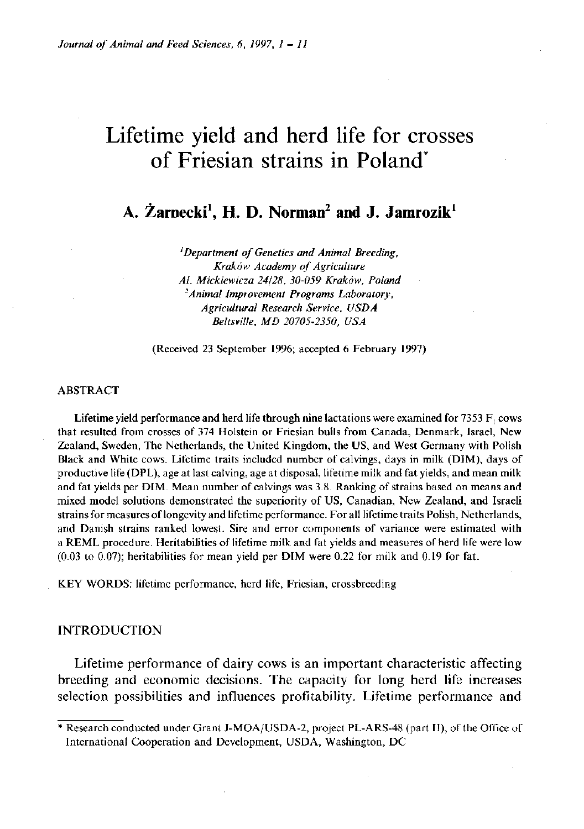# Lifetime yield and herd life for crosses of Friesian strains in Poland\*

**A. Zarnecki<sup>1</sup> , H. D. Norman<sup>2</sup> and J . Jamrozik<sup>1</sup>**

*'Department of Genetics and Animal Breeding, Krakow Academy of Agriculture Al. Mickiewicza 24/28, 30-059 Krakow, Poland <sup>2</sup>Animal Improvement Programs Laboratory, Agricultural Research Service, USDA Beltsville, MD 20705-2350, USA* 

(Received 23 September 1996; accepted 6 February 1997)

#### ABSTRACT

Lifetime yield performance and herd life through nine lactations were examined for  $7353 F$ , cows that resulted from crosses of 374 Holstein or Friesian bulls from Canada, Denmark, Israel, New Zealand, Sweden, The Netherlands, the United Kingdom, the US, and West Germany with Polish Black and White cows. Lifetime traits included number of calvings, days in milk (DIM), days of productive life (DPL), age at last calving, age at disposal, lifetime milk and fat yields, and mean milk and fat yields per DIM . Mean number of calvings was 3.8. Ranking of strains based on means and mixed model solutions demonstrated the superiority of US, Canadian, New Zealand, and Israeli strains for measures of longevity and lifetime performance. For all lifetime traits Polish, Netherlands, and Danish strains ranked lowest. Sire and error components of variance were estimated with a REML procedure. Heritabilities of lifetime milk and fat yields and measures of herd life were low  $(0.03 \text{ to } 0.07)$ ; heritabilities for mean yield per DIM were 0.22 for milk and 0.19 for fat.

KEY WORDS: lifetime performance, herd life, Friesian, crossbreeding

## INTRODUCTION

Lifetime performance of dairy cows is an important characteristic affecting breeding and economic decisions. The capacity for long herd life increases selection possibilities and influences profitability. Lifetime performance and

Research conducted under Grant J-MOA/USDA-2, project PL-ARS-48 (part II), of the Office of International Cooperation and Development, USDA, Washington, DC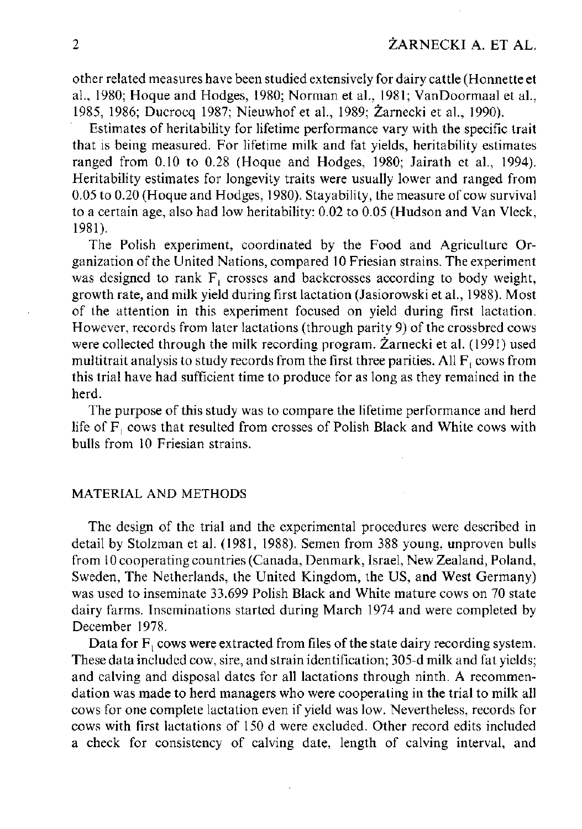other related measures have been studied extensively for dairy cattle (Honnette et al., 1980; Hoque and Hodges, 1980; Norman et al., 1981; VanDoormaal et al., 1985, 1986; Ducrocq 1987; Nieuwhof et al., 1989; Zarnecki et al., 1990).

Estimates of heritability for lifetime performance vary with the specific trait that is being measured. For lifetime milk and fat yields, heritability estimates ranged from 0.10 to 0.28 (Hoque and Hodges, 1980; Jairath et al., 1994). Heritability estimates for longevity traits were usually lower and ranged from 0.05 to 0.20 (Hoque and Hodges, 1980). Stayability, the measure of cow survival to a certain age, also had low heritability: 0.02 to 0.05 (Hudson and Van Vleck, 1981).

The Polish experiment, coordinated by the Food and Agriculture Organization of the United Nations, compared 10 Friesian strains. The experiment was designed to rank F<sub>i</sub> crosses and backcrosses according to body weight, growth rate, and milk yield during first lactation (Jasiorowski et al., 1988). Most of the attention in this experiment focused on yield during first lactation. However, records from later lactations (through parity 9) of the crossbred cows were collected through the milk recording program. Zarnecki et al. (1991) used multitrait analysis to study records from the first three parities. All  $F<sub>1</sub>$  cows from this trial have had sufficient time to produce for as long as they remained in the herd.

The purpose of this study was to compare the lifetime performance and herd life of  $F_1$  cows that resulted from crosses of Polish Black and White cows with bulls from 10 Friesian strains.

## MATERIAL AND METHODS

The design of the trial and the experimental procedures were described in detail by Stolzman et al. (1981, 1988). Semen from 388 young, unproven bulls from 10 cooperating countries (Canada, Denmark, Israel, New Zealand, Poland, Sweden, The Netherlands, the United Kingdom, the US, and West Germany) was used to inseminate 33.699 Polish Black and White mature cows on 70 state dairy farms. Inseminations started during March 1974 and were completed by December 1978.

Data for F, cows were extracted from files of the state dairy recording system. These data included cow, sire, and strain identification; 305-d milk and fat yields; and calving and disposal dates for all lactations through ninth. A recommendation was made to herd managers who were cooperating in the trial to milk all cows for one complete lactation even if yield was low. Nevertheless, records for cows with first lactations of 150 d were excluded. Other record edits included a check for consistency of calving date, length of calving interval, and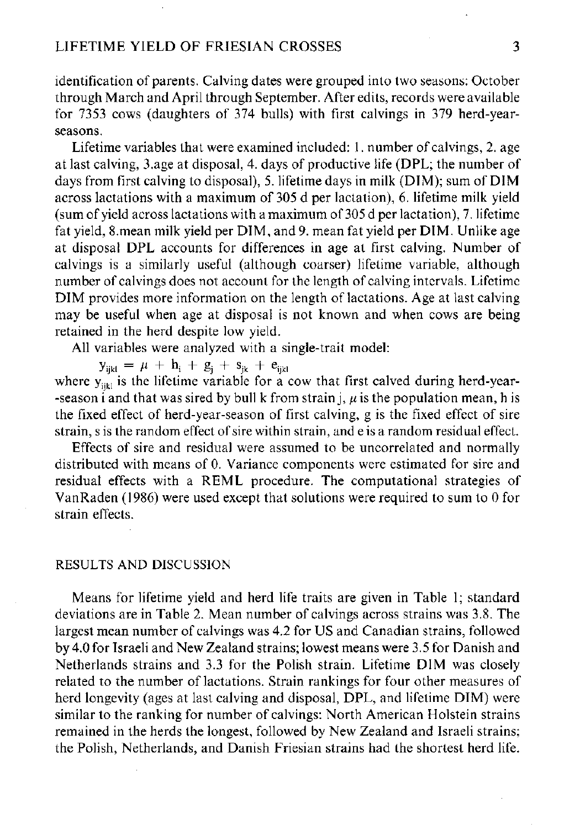identification of parents. Calving dates were grouped into two seasons: October through March and April through September. After edits, records were available for 7353 cows (daughters of 374 bulls) with first calvings in 379 herd-yearseasons.

Lifetime variables that were examined included: 1. number of calvings, 2. age at last calving, 3.age at disposal, 4. days of productive life (DPL; the number of days from first calving to disposal), 5. lifetime days in milk (DIM); sum of DIM across lactations with a maximum of 305 d per lactation), 6. lifetime milk yield (sum of yield across lactations with a maximum of 305 d per lactation), 7. lifetime fat yield, 8.mean milk yield per DIM , and 9. mean fat yield per DIM . Unlike age at disposal DPL accounts for differences in age at first calving. Number of calvings is a similarly useful (although coarser) lifetime variable, although number of calvings does not account for the length of calving intervals. Lifetime DIM provides more information on the length of lactations. Age at last calving may be useful when age at disposal is not known and when cows are being retained in the herd despite low yield.

All variables were analyzed with a single-trait model:

 $y_{ijkl} = \mu + n_{i} + g_{j} + s_{jk} + e_{ijk}$ where  $y_{ijkl}$  is the lifetime variable for a cow that first calved during herd-year--season i and that was sired by bull k from strain  $\mathbf{i}, \mu$  is the population mean, h is the fixed effect of herd-year-season of first calving, g is the fixed effect of sire

Effects of sire and residual were assumed to be uncorrelated and normally distributed with means of 0. Variance components were estimated for sire and residual effects with a REML procedure. The computational strategies of VanRaden (1986) were used except that solutions were required to sum to 0 for strain effects.

strain, s is the random effect of sire within strain, and e is a random residual effect.

## RESULTS AND DISCUSSION

Means for lifetime yield and herd life traits are given in Table 1; standard deviations are in Table 2. Mean number of calvings across strains was 3.8. The largest mean number of calvings was 4.2 for US and Canadian strains, followed by 4.0 for Israeli and New Zealand strains; lowest means were 3.5 for Danish and Netherlands strains and 3.3 for the Polish strain. Lifetime DIM was closely related to the number of lactations. Strain rankings for four other measures of herd longevity (ages at last calving and disposal, DPL, and lifetime DIM) were similar to the ranking for number of calvings: North American Holstein strains remained in the herds the longest, followed by New Zealand and Israeli strains; the Polish, Netherlands, and Danish Friesian strains had the shortest herd life.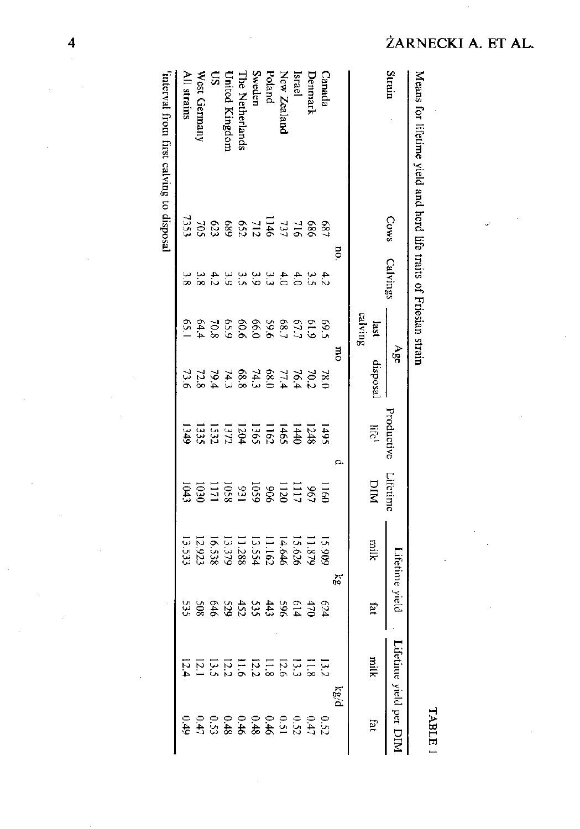| Strair          | <b>Cows</b> | Calving     |               | яãю                                                   | Productiv                         | Lifetime                           | tetime yieli                                     |                      | ЕÏ<br>eume yield                                                                                                                                |   |
|-----------------|-------------|-------------|---------------|-------------------------------------------------------|-----------------------------------|------------------------------------|--------------------------------------------------|----------------------|-------------------------------------------------------------------------------------------------------------------------------------------------|---|
|                 |             |             | calving<br>is |                                                       | life                              | DIN                                | hlik                                             | ia.                  | yiin<br>E                                                                                                                                       | E |
|                 |             | ਫ਼          |               |                                                       |                                   |                                    | 22                                               |                      | $\frac{1}{3}$                                                                                                                                   |   |
| Canad:          |             |             |               |                                                       |                                   |                                    |                                                  |                      |                                                                                                                                                 |   |
| <b>Denmarl</b>  |             | 43443333433 |               | R 22 72 8 72 8 72 72 72<br>20 74 75 76 78 77 78 78 79 | 143486282511333<br>15448628251333 | 1160<br>1111288318781<br>111128831 | 15.909<br>11.873<br>11.873<br>11.2833<br>11.5333 | <b>6453848888888</b> | $\frac{11}{33}$ $\frac{11}{33}$ $\frac{11}{33}$ $\frac{11}{33}$ $\frac{11}{33}$ $\frac{11}{33}$ $\frac{11}{33}$ $\frac{11}{33}$ $\frac{11}{33}$ |   |
| Israel          |             |             |               |                                                       |                                   |                                    |                                                  |                      |                                                                                                                                                 |   |
| New Zealand     |             |             |               |                                                       |                                   |                                    |                                                  |                      |                                                                                                                                                 |   |
| Poland          |             |             |               |                                                       |                                   |                                    |                                                  |                      |                                                                                                                                                 |   |
| Sweden          |             |             |               |                                                       |                                   |                                    |                                                  |                      |                                                                                                                                                 |   |
| The Netherlands |             |             |               |                                                       |                                   |                                    |                                                  |                      |                                                                                                                                                 |   |
| Inicd Kingdo    |             |             |               |                                                       |                                   |                                    |                                                  |                      |                                                                                                                                                 |   |
| S               |             |             |               |                                                       |                                   |                                    |                                                  |                      |                                                                                                                                                 |   |
| West Germany    |             |             |               |                                                       |                                   |                                    |                                                  |                      |                                                                                                                                                 |   |
| All strains     |             |             |               |                                                       |                                   |                                    |                                                  |                      |                                                                                                                                                 |   |
| Ļ<br>.<br>R     |             |             |               |                                                       |                                   |                                    |                                                  |                      |                                                                                                                                                 |   |

interval from first calving to disposal 'interval from first calving to disposal

 $\overline{\mathbf{4}}$ 

## ŻARNECKI A. ET AL.

Means for lifetime yield and herd life traits of Friesian strain

Means for lifetime yield and herd life traits of Friesian strain

TABLE 1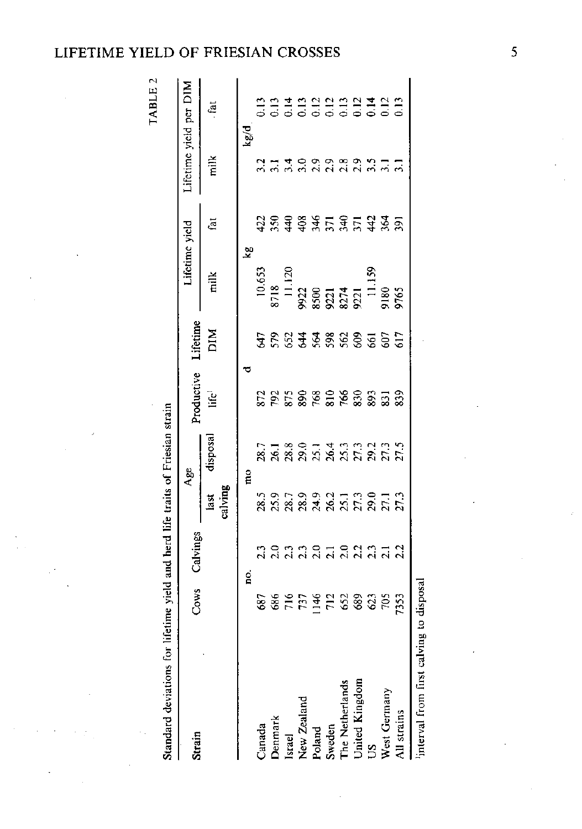## LIFETIME YIELD OF FRIESIAN CROSSES

TABLE 2

Standard deviations for lifetime yield and herd life traits of Friesian strain

Standard deviations for lifetime yield and herd life traits of Friesian strain

| Strain                              | Cows               | Calvings               | Age                                            | roductive    | ifetime            | lifetime yield                                                                                                              |                  |              | ifetime yield per DIM |
|-------------------------------------|--------------------|------------------------|------------------------------------------------|--------------|--------------------|-----------------------------------------------------------------------------------------------------------------------------|------------------|--------------|-----------------------|
|                                     |                    |                        |                                                | life         | ЫM                 | milk                                                                                                                        | ίāί              | milk         | fat                   |
|                                     |                    |                        |                                                |              |                    |                                                                                                                             |                  |              |                       |
|                                     |                    | g                      | $\frac{1}{2}$                                  |              |                    | $\mathbf{z}$                                                                                                                |                  |              | Plân                  |
| Canada                              |                    |                        |                                                |              |                    |                                                                                                                             |                  |              |                       |
| Denmark                             |                    |                        |                                                |              |                    | $\begin{array}{r} 10.653 \\ 8718 \\ 8718 \\ 11.120 \\ 9922 \\ 8500 \\ 8321 \\ 9221 \\ 8374 \\ 921 \\ 11.159 \\ \end{array}$ |                  |              |                       |
|                                     |                    |                        |                                                |              |                    |                                                                                                                             |                  |              |                       |
| Israel<br>New Zealand               |                    |                        |                                                |              |                    |                                                                                                                             |                  |              |                       |
|                                     |                    |                        |                                                |              |                    |                                                                                                                             |                  |              |                       |
| Poland<br>Sweden<br>The Netherlands |                    |                        |                                                |              |                    |                                                                                                                             |                  |              |                       |
|                                     |                    |                        |                                                |              |                    |                                                                                                                             |                  |              |                       |
| United Kingdom<br>US                |                    |                        |                                                |              |                    |                                                                                                                             |                  |              |                       |
|                                     |                    |                        |                                                |              |                    |                                                                                                                             |                  |              |                       |
| West Germany                        | 88<br>884542388355 | nonno Tonnun<br>Nadada | n 1 8 9 1 4 1 1 1 1 1 1<br>R R R R R R R R R R | 222588988833 | <b>36333838555</b> | 3261<br>Vite                                                                                                                | <b>SESSEERES</b> | 211109289211 |                       |
| All strains                         |                    |                        |                                                |              |                    |                                                                                                                             |                  |              |                       |
| $\ddot{\phantom{a}}$                |                    |                        |                                                |              |                    |                                                                                                                             |                  |              |                       |

'interval from first calving to disposal interval from first calving to disposal  $\overline{\mathbf{5}}$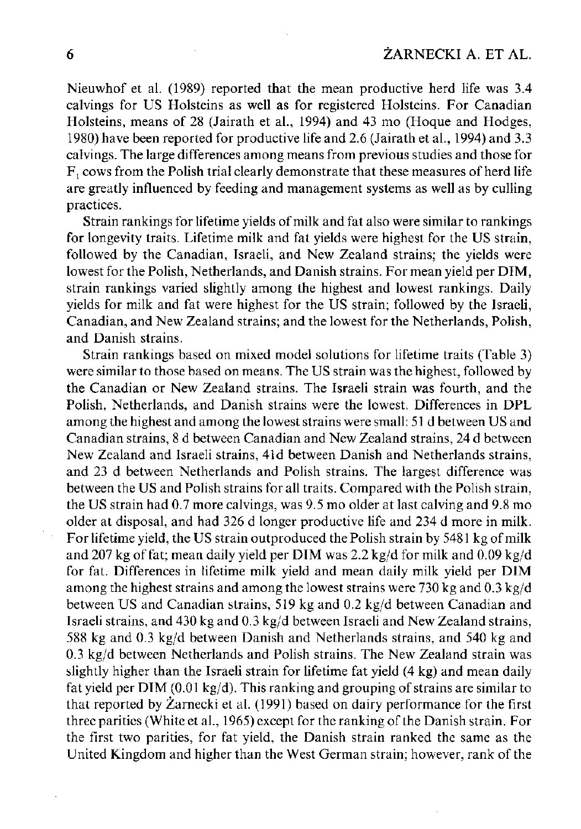Nieuwhof et al. (1989) reported that the mean productive herd life was 3.4 calvings for US Holsteins as well as for registered Holsteins. For Canadian Holsteins, means of 28 (Jairath et al., 1994) and 43 mo (Hoque and Hodges, 1980) have been reported for productive life and 2.6 (Jairath et al., 1994) and 3.3 calvings. The large differences among means from previous studies and those for  $F<sub>1</sub>$  cows from the Polish trial clearly demonstrate that these measures of herd life are greatly influenced by feeding and management systems as well as by culling practices.

Strain rankings for lifetime yields of milk and fat also were similar to rankings for longevity traits. Lifetime milk and fat yields were highest for the US strain, followed by the Canadian, Israeli, and New Zealand strains; the yields were lowest for the Polish, Netherlands, and Danish strains. For mean yield per DIM, strain rankings varied slightly among the highest and lowest rankings. Daily yields for milk and fat were highest for the US strain; followed by the Israeli, Canadian, and New Zealand strains; and the lowest for the Netherlands, Polish, and Danish strains.

Strain rankings based on mixed model solutions for lifetime traits (Table 3) were similar to those based on means. The US strain was the highest, followed by the Canadian or New Zealand strains. The Israeli strain was fourth, and the Polish, Netherlands, and Danish strains were the lowest. Differences in DPL among the highest and among the lowest strains were small: 51 d between US and Canadian strains, 8 d between Canadian and New Zealand strains, 24 d between New Zealand and Israeli strains, 41d between Danish and Netherlands strains, and 23 d between Netherlands and Polish strains. The largest difference was between the US and Polish strains for all traits. Compared with the Polish strain, the US strain had 0.7 more calvings, was 9.5 mo older at last calving and 9.8 mo older at disposal, and had 326 d longer productive life and 234 d more in milk. For lifetime yield, the US strain outproduced the Polish strain by 5481 kg of milk and 207 kg of fat; mean daily yield per DIM was  $2.2 \text{ kg/d}$  for milk and  $0.09 \text{ kg/d}$ for fat. Differences in lifetime milk yield and mean daily milk yield per DIM among the highest strains and among the lowest strains were 730 kg and 0.3 kg/d between US and Canadian strains, 519 kg and 0.2 kg/d between Canadian and Israeli strains, and 430 kg and 0.3 kg/d between Israeli and New Zealand strains, 588 kg and 0.3 kg/d between Danish and Netherlands strains, and 540 kg and 0.3 kg/d between Netherlands and Polish strains. The New Zealand strain was slightly higher than the Israeli strain for lifetime fat yield (4 kg) and mean daily fat yield per DIM (0.01 kg/d). This ranking and grouping of strains are similar to that reported by Zarnecki et al. (1991) based on dairy performance for the first three parities (White et al., 1965) except for the ranking of the Danish strain. For the first two parities, for fat yield, the Danish strain ranked the same as the United Kingdom and higher than the West German strain; however, rank of the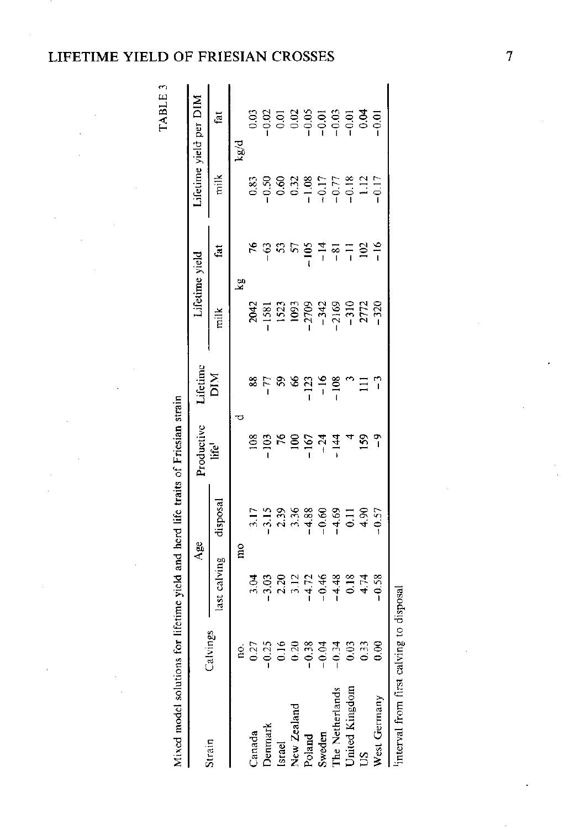# **ETIME YIELD OF FRIESIAN CROSSES**

TABLE 3

| Mixed model solutions for lifetime yield and herd life traits of Friesian strain |               |                |                                                  |                 |                            |                     |                |                                                                                                  |                                                                                                  |
|----------------------------------------------------------------------------------|---------------|----------------|--------------------------------------------------|-----------------|----------------------------|---------------------|----------------|--------------------------------------------------------------------------------------------------|--------------------------------------------------------------------------------------------------|
|                                                                                  |               | Age            |                                                  | Productive      | $Lifetime$                 | Lifetime vield      |                |                                                                                                  | lifetime yield per DIM                                                                           |
| Strain                                                                           | Calvings      | last calving   | disposal                                         | ∐e'             | МIQ                        | milk                | fat            | milk                                                                                             | fat                                                                                              |
|                                                                                  |               | mo             |                                                  | ರ               |                            | 57                  |                |                                                                                                  | kg/d                                                                                             |
| Canada                                                                           | $\frac{1}{2}$ |                |                                                  |                 |                            |                     | 56             |                                                                                                  |                                                                                                  |
| Denmark                                                                          | 0.25          |                | 3.15                                             | $\frac{6}{103}$ | 8<br>8<br>7<br>1<br>8<br>1 | 2042<br>-1581       | $-63$          |                                                                                                  | 0.02<br>0.02                                                                                     |
| <b>Israel</b>                                                                    | 0.16          |                |                                                  | $\frac{100}{5}$ |                            |                     | 53             |                                                                                                  |                                                                                                  |
| New Zealand                                                                      | 0.20          |                |                                                  |                 |                            | $\frac{1523}{1093}$ | 5              |                                                                                                  |                                                                                                  |
|                                                                                  | $-0.38$       |                |                                                  | $-167$          |                            |                     | $-105$         |                                                                                                  |                                                                                                  |
|                                                                                  | $-0.04$       |                | $2,38$<br>$3,38$<br>$-1$<br>$-1$<br>$-1$<br>$-1$ | $-14$           | $-123$<br>$-16$            | $-342$              | $\frac{4}{1}$  |                                                                                                  |                                                                                                  |
| Poland<br>Sweden<br>The Netherlands<br>United Kingdom                            | 0.34          |                |                                                  |                 | $-108$                     | 2169                | $-8-$          | $0.83$<br>$0.96$<br>$0.96$<br>$0.38$<br>$0.77$<br>$0.96$<br>$0.72$<br>$0.72$<br>$0.72$<br>$0.72$ | $0.01$<br>$0.02$<br>$0.05$<br>$0.01$<br>$0.03$<br>$0.01$<br>$0.01$<br>$0.01$<br>$0.01$<br>$0.01$ |
|                                                                                  | 0.03          |                | $\overline{0}$                                   |                 |                            | $-310$              | $\overline{z}$ |                                                                                                  |                                                                                                  |
| $\overline{20}$                                                                  | 0.33          | $0.18$<br>4.74 | 4.90                                             | 159             | Ξ                          | 2772                | 102            | 1.12                                                                                             |                                                                                                  |
| West Germany                                                                     | $\frac{8}{5}$ | 0.58           | $-0.57$                                          |                 |                            | 320                 | $\frac{8}{1}$  | 0.17                                                                                             |                                                                                                  |
| interval from first calving to disposal                                          |               |                |                                                  |                 |                            |                     |                |                                                                                                  |                                                                                                  |

 $\overline{7}$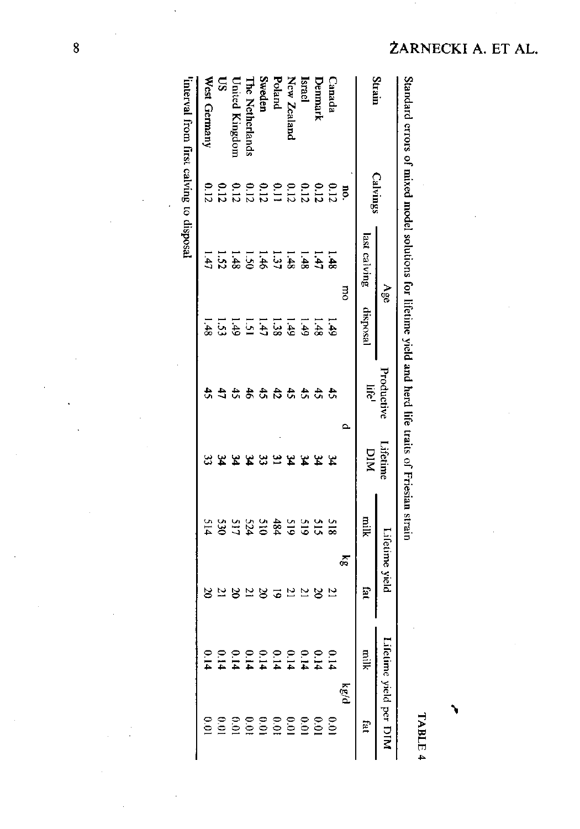|                        |          | Age                                                                                                             |                                                             | Productive      | Lifetime       |         | itetime yield  | Liéi<br>me yield  |                 |
|------------------------|----------|-----------------------------------------------------------------------------------------------------------------|-------------------------------------------------------------|-----------------|----------------|---------|----------------|-------------------|-----------------|
| Strain                 | Calvings | last calving                                                                                                    | disposal                                                    | $\frac{1}{2}$   | DIN            | niik    | isi            | nik<br>S          | P.              |
|                        | Į,       | <b>B</b>                                                                                                        |                                                             | ≏               |                | б,      |                | $\kappa g/\sigma$ |                 |
| Canada                 |          | 1.48                                                                                                            | $\frac{1}{6}$                                               | $\ddot{t}$      | $\mathfrak{p}$ | 518     | $\overline{c}$ | $\circ$           |                 |
| Denmark                |          |                                                                                                                 | 1.48                                                        | $\ddot{t}$      | z              | 515     | $\approx$      | $\tilde{c}$       |                 |
| Israel                 |          |                                                                                                                 |                                                             |                 |                |         | $\overline{z}$ | $\tilde{c}$       |                 |
| New Zealand            |          |                                                                                                                 |                                                             | 2.54            | 34             |         | $\overline{c}$ | $\tilde{c}$       |                 |
| Poland                 |          |                                                                                                                 | $\begin{array}{c}\n1 \\ 3 \\ 4 \\ 5 \\ 8 \\ 6\n\end{array}$ |                 | $\mathbf{a}$   |         | 5              | $\circ$           |                 |
| Sweden                 |          |                                                                                                                 |                                                             | $\ddot{t}$      | 33             |         | $\approx$      | ۹                 |                 |
| <b>The Netherlands</b> |          | $\frac{1}{3}$ $\frac{4}{3}$ $\frac{4}{3}$ $\frac{3}{5}$ $\frac{1}{6}$ $\frac{3}{6}$ $\frac{1}{3}$ $\frac{1}{3}$ |                                                             | $\ddot{\sigma}$ | 34             | 3934525 | $\overline{1}$ | S                 |                 |
| <b>United Kingdom</b>  |          |                                                                                                                 | 1.33                                                        |                 |                |         | 20             | <u>়</u>          |                 |
| $\mathbf{S}$           |          |                                                                                                                 |                                                             | $\frac{4}{5}$   | なな             |         | 21             | Θ.                |                 |
| West Cierman           | 0.12     | $\overline{t}$                                                                                                  | $-48$                                                       | 子               | 33             | 514     | $\approx$      | ິ≘                | $\frac{0.0}{1}$ |

Ó

J.

ŻARNECKI A. ET AL.

 $\overline{8}$ 

 $\bar{z}$ 

TABLE 4

٦,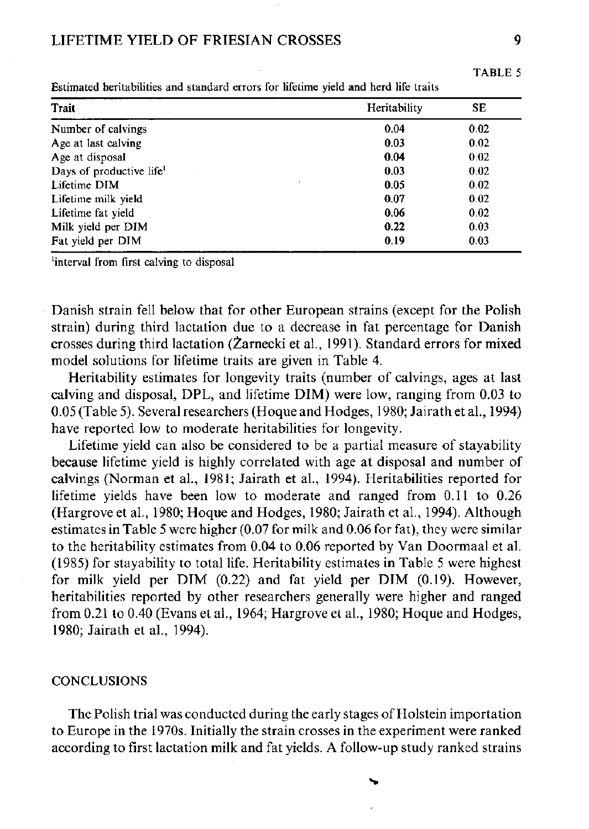## LIFETIME YIELD OF FRIESIAN CROSSES 9

| esumated nertiabilities and standard errors for illetime yield and nerd life traits |              |      |
|-------------------------------------------------------------------------------------|--------------|------|
| Trait                                                                               | Heritability | SE   |
| Number of calvings                                                                  | 0.04         | 0.02 |
| Age at last calving                                                                 | 0.03         | 0.02 |
| Age at disposal                                                                     | 0.04         | 0.02 |
| Days of productive life <sup>1</sup>                                                | 0.03         | 0.02 |
| $\cdot$<br>Lifetime DIM                                                             | 0.05         | 0.02 |
| Lifetime milk yield                                                                 | 0.07         | 0.02 |
| Lifetime fat vield                                                                  | 0.06         | 0.02 |
| Milk yield per DIM                                                                  | 0.22         | 0.03 |
| Fat yield per DIM                                                                   | 0.19         | 0.03 |

Estimated heritabilities and standard errors for lifetime yield and herd life traits

'interval from first calving to disposal

Danish strain fell below that for other European strains (except for the Polish strain) during third lactation due to a decrease in fat percentage for Danish crosses during third lactation (Zarnecki et al., 1991). Standard errors for mixed model solutions for lifetime traits are given in Table 4.

Heritability estimates for longevity traits (number of calvings, ages at last calving and disposal, DPL, and lifetime DIM) were low, ranging from 0.03 to 0.05 (Table 5). Several researchers (Hoque and Hodges, 1980; Jairath et al., 1994) have reported low to moderate heritabilities for longevity.

Lifetime yield can also be considered to be a partial measure of stayability because lifetime yield is highly correlated with age at disposal and number of calvings (Norman et al., 1981; Jairath et al., 1994). Heritabilities reported for lifetime yields have been low to moderate and ranged from 0.11 to 0.26 (Hargrove et al., 1980; Hoque and Hodges, 1980; Jairath et al., 1994). Although estimates in Table 5 were higher (0.07 for milk and 0.06 for fat), they were similar to the heritability estimates from 0.04 to 0.06 reported by Van Doormaal et al. (1985) for stayability to total life. Heritability estimates in Table 5 were highest for milk yield per  $\text{DIM}$  (0.22) and fat yield per  $\text{DIM}$  (0.19). However, heritabilities reported by other researchers generally were higher and ranged from 0.21 to 0.40 (Evans et al., 1964; Hargrove et al., 1980; Hoque and Hodges, 1980; Jairath et al., 1994).

## **CONCLUSIONS**

The Polish trial was conducted during the early stages of Holstein importation to Europe in the 1970s. Initially the strain crosses in the experiment were ranked according to first lactation milk and fat yields. A follow-up study ranked strains

TABLE 5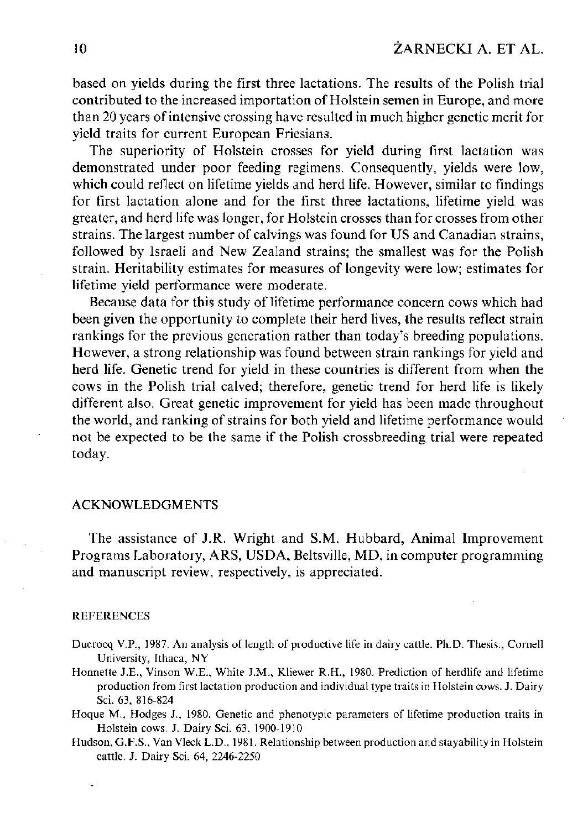based on yields during the first three lactations. The results of the Polish trial contributed to the increased importation of Holstein semen in Europe, and more than 20 years of intensive crossing have resulted in much higher genetic merit for yield traits for current European Friesians.

The superiority of Holstein crosses for yield during first lactation was demonstrated under poor feeding regimens. Consequently, yields were low, which could reflect on lifetime yields and herd life. However, similar to findings for first lactation alone and for the first three lactations, lifetime yield was greater, and herd life was longer, for Holstein crosses than for crosses from other strains. The largest number of calvings was found for US and Canadian strains, followed by Israeli and New Zealand strains; the smallest was for the Polish strain. Heritability estimates for measures of longevity were low; estimates for lifetime yield performance were moderate.

Because data for this study of lifetime performance concern cows which had been given the opportunity to complete their herd lives, the results reflect strain rankings for the previous generation rather than today's breeding populations. However, a strong relationship was found between strain rankings for yield and herd life. Genetic trend for yield in these countries is different from when the cows in the Polish trial calved; therefore, genetic trend for herd life is likely different also. Great genetic improvement for yield has been made throughout the world, and ranking of strains for both yield and lifetime performance would not be expected to be the same if the Polish crossbreeding trial were repeated today.

## ACKNOWLEDGMENTS

The assistance of J.R. Wright and S.M. Hubbard, Animal Improvement Programs Laboratory, ARS, USDA, Beltsville, MD, in computer programming and manuscript review, respectively, is appreciated.

#### REFERENCES

- Ducrocq V.P., 1987. An analysis of length of productive life in dairy cattle. Ph.D. Thesis., Cornell University, Ithaca, NY
- Honnette J.E., Vinson W.E., White J.M., Kliewer R.H., 1980. Prediction of herdlife and lifetime production from first lactation production and individual type traits in Holstein cows. J. Dairy Sci. 63, 816-824
- Hoque M. , Hodges J., 1980. Genetic and phenotypic parameters of lifetime production traits in Holstein cows. J. Dairy Sci. 63, 1900-1910
- Hudson, G.F.S., Van Vleck L.D., 1981. Relationship between production and stayability in Holstein cattle. J. Dairy Sci. 64, 2246-2250